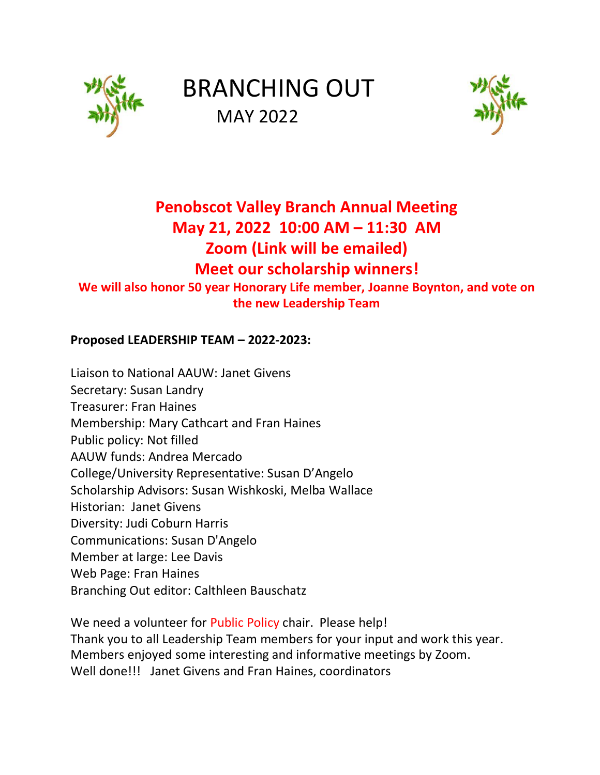

# BRANCHING OUT MAY 2022



## **Penobscot Valley Branch Annual Meeting May 21, 2022 10:00 AM – 11:30 AM Zoom (Link will be emailed) Meet our scholarship winners!**

**We will also honor 50 year Honorary Life member, Joanne Boynton, and vote on the new Leadership Team**

#### **Proposed LEADERSHIP TEAM – 2022-2023:**

Liaison to National AAUW: Janet Givens Secretary: Susan Landry Treasurer: Fran Haines Membership: Mary Cathcart and Fran Haines Public policy: Not filled AAUW funds: Andrea Mercado College/University Representative: Susan D'Angelo Scholarship Advisors: Susan Wishkoski, Melba Wallace Historian: Janet Givens Diversity: Judi Coburn Harris Communications: Susan D'Angelo Member at large: Lee Davis Web Page: Fran Haines Branching Out editor: Calthleen Bauschatz

We need a volunteer for Public Policy chair. Please help! Thank you to all Leadership Team members for your input and work this year. Members enjoyed some interesting and informative meetings by Zoom. Well done!!! Janet Givens and Fran Haines, coordinators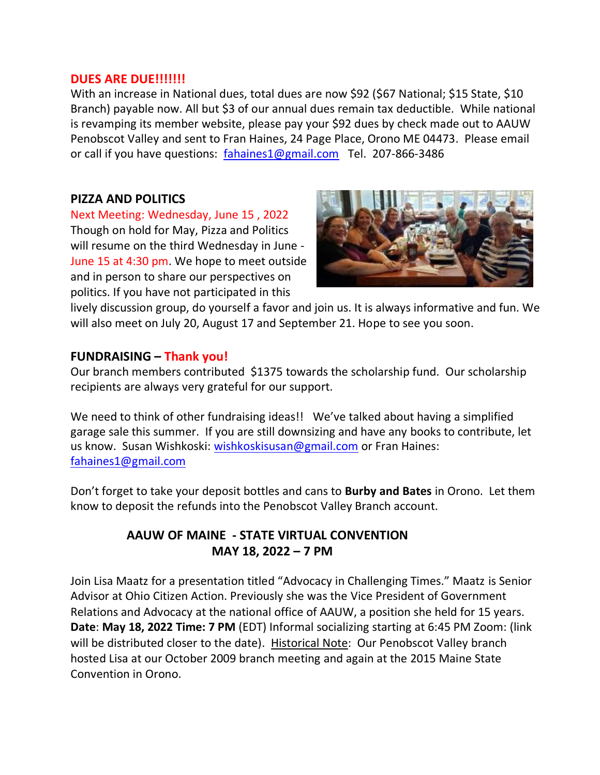#### **DUES ARE DUE!!!!!!!**

With an increase in National dues, total dues are now \$92 (\$67 National; \$15 State, \$10 Branch) payable now. All but \$3 of our annual dues remain tax deductible. While national is revamping its member website, please pay your \$92 dues by check made out to AAUW Penobscot Valley and sent to Fran Haines, 24 Page Place, Orono ME 04473. Please email or call if you have questions: [fahaines1@gmail.com](mailto:fahaines1@gmail.com) Tel. 207-866-3486

#### **PIZZA AND POLITICS**

Next Meeting: Wednesday, June 15 , 2022 Though on hold for May, Pizza and Politics will resume on the third Wednesday in June - June 15 at 4:30 pm. We hope to meet outside and in person to share our perspectives on politics. If you have not participated in this



lively discussion group, do yourself a favor and join us. It is always informative and fun. We will also meet on July 20, August 17 and September 21. Hope to see you soon.

#### **FUNDRAISING – Thank you!**

Our branch members contributed \$1375 towards the scholarship fund. Our scholarship recipients are always very grateful for our support.

We need to think of other fundraising ideas!! We've talked about having a simplified garage sale this summer. If you are still downsizing and have any books to contribute, let us know. Susan Wishkoski: [wishkoskisusan@gmail.com](mailto:wishkoskisusan@gmail.com) or Fran Haines: [fahaines1@gmail.com](http://fahaines1@gmail.com/)

Don't forget to take your deposit bottles and cans to **Burby and Bates** in Orono. Let them know to deposit the refunds into the Penobscot Valley Branch account.

#### **AAUW OF MAINE - STATE VIRTUAL CONVENTION MAY 18, 2022 – 7 PM**

Join Lisa Maatz for a presentation titled "Advocacy in Challenging Times." Maatz is Senior Advisor at Ohio Citizen Action. Previously she was the Vice President of Government Relations and Advocacy at the national office of AAUW, a position she held for 15 years. **Date**: **May 18, 2022 Time: 7 PM** (EDT) Informal socializing starting at 6:45 PM Zoom: (link will be distributed closer to the date). Historical Note: Our Penobscot Valley branch hosted Lisa at our October 2009 branch meeting and again at the 2015 Maine State Convention in Orono.